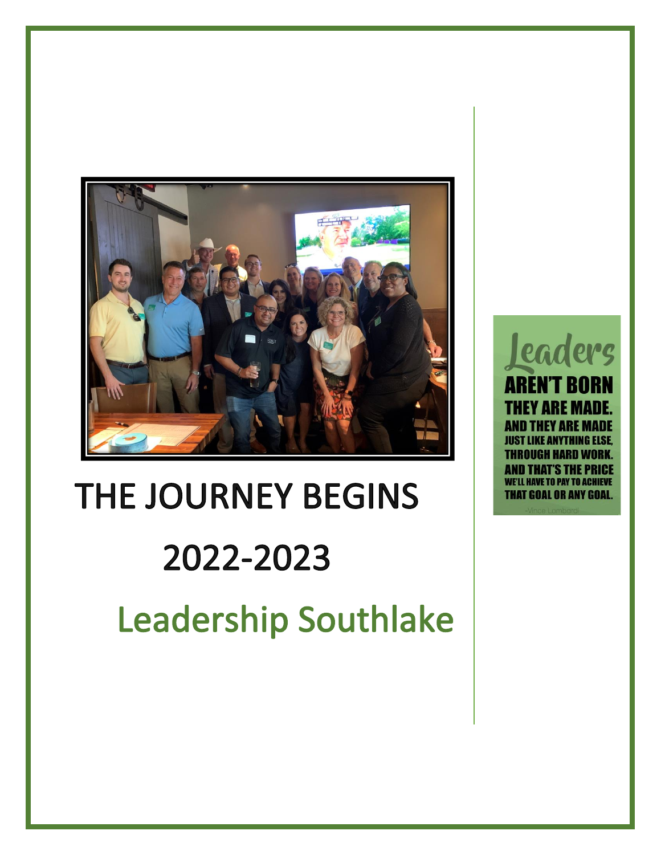

## THE JOURNEY BEGINS 2022-2023 **Leadership Southlake**

**Leaders AREN'T BORN** EY ARE MADE **AND THEY ARE MADE IKE ANYTHING ELSE** DUGH HARD WO ID THAT'S THE PI **HAVE TO PAY TO ACHIEVE** THAT GOAL OR ANY GOAL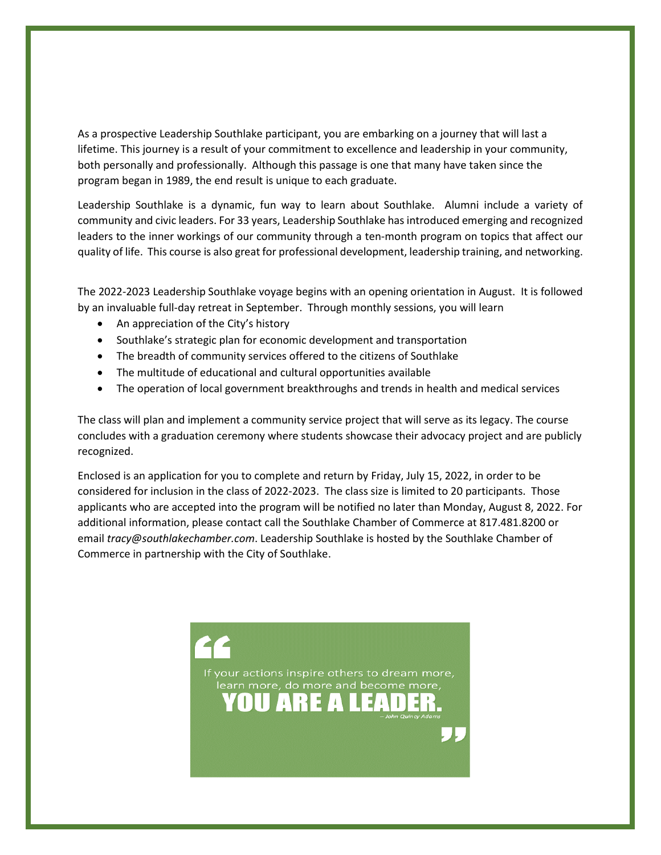As a prospective Leadership Southlake participant, you are embarking on a journey that will last a lifetime. This journey is a result of your commitment to excellence and leadership in your community, both personally and professionally. Although this passage is one that many have taken since the program began in 1989, the end result is unique to each graduate.

Leadership Southlake is a dynamic, fun way to learn about Southlake. Alumni include a variety of community and civic leaders. For 33 years, Leadership Southlake has introduced emerging and recognized leaders to the inner workings of our community through a ten-month program on topics that affect our quality of life. This course is also great for professional development, leadership training, and networking.

The 2022-2023 Leadership Southlake voyage begins with an opening orientation in August. It is followed by an invaluable full-day retreat in September. Through monthly sessions, you will learn

- An appreciation of the City's history
- Southlake's strategic plan for economic development and transportation
- The breadth of community services offered to the citizens of Southlake
- The multitude of educational and cultural opportunities available
- The operation of local government breakthroughs and trends in health and medical services

The class will plan and implement a community service project that will serve as its legacy. The course concludes with a graduation ceremony where students showcase their advocacy project and are publicly recognized.

Enclosed is an application for you to complete and return by Friday, July 15, 2022, in order to be considered for inclusion in the class of 2022-2023. The class size is limited to 20 participants. Those applicants who are accepted into the program will be notified no later than Monday, August 8, 2022. For additional information, please contact call the Southlake Chamber of Commerce at 817.481.8200 or email *tracy@southlakechamber.com*. Leadership Southlake is hosted by the Southlake Chamber of Commerce in partnership with the City of Southlake.

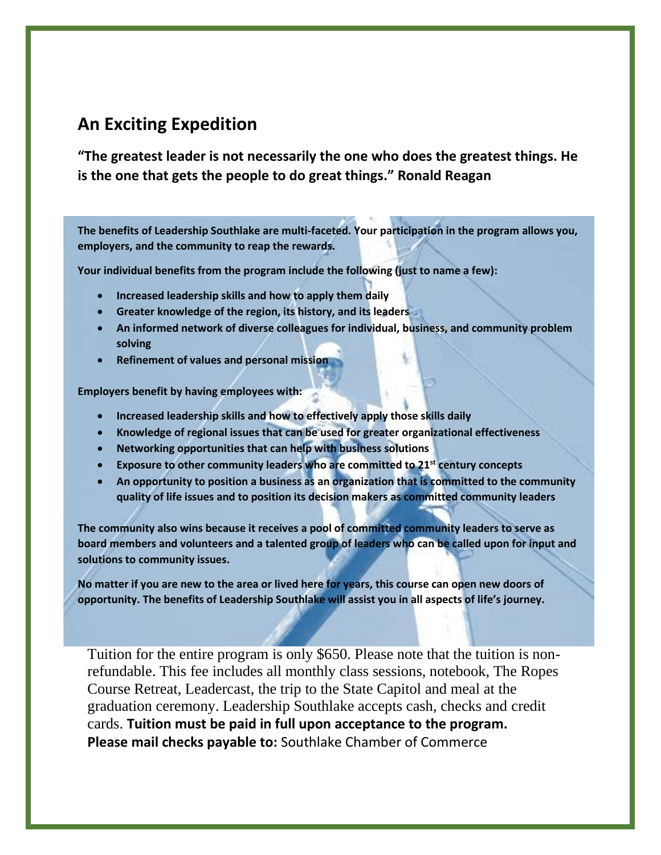## **An Exciting Expedition**

**"The greatest leader is not necessarily the one who does the greatest things. He is the one that gets the people to do great things." Ronald Reagan**

**The benefits of Leadership Southlake are multi-faceted. Your participation in the program allows you, employers, and the community to reap the rewards.**

**Your individual benefits from the program include the following (just to name a few):**

- **Increased leadership skills and how to apply them daily**
- **Greater knowledge of the region, its history, and its leaders**
- **An informed network of diverse colleagues for individual, business, and community problem solving**
- **Refinement of values and personal mission**

**Employers benefit by having employees with:**

- **Increased leadership skills and how to effectively apply those skills daily**
- **Knowledge of regional issues that can be used for greater organizational effectiveness**
- **Networking opportunities that can help with business solutions**
- **Exposure to other community leaders who are committed to 21st century concepts**
- **An opportunity to position a business as an organization that is committed to the community quality of life issues and to position its decision makers as committed community leaders**

**The community also wins because it receives a pool of committed community leaders to serve as board members and volunteers and a talented group of leaders who can be called upon for input and solutions to community issues.**

**No matter if you are new to the area or lived here for years, this course can open new doors of opportunity. The benefits of Leadership Southlake will assist you in all aspects of life's journey.**

Tuition for the entire program is only \$650. Please note that the tuition is nonrefundable. This fee includes all monthly class sessions, notebook, The Ropes Course Retreat, Leadercast, the trip to the State Capitol and meal at the graduation ceremony. Leadership Southlake accepts cash, checks and credit cards. **Tuition must be paid in full upon acceptance to the program. Please mail checks payable to:** Southlake Chamber of Commerce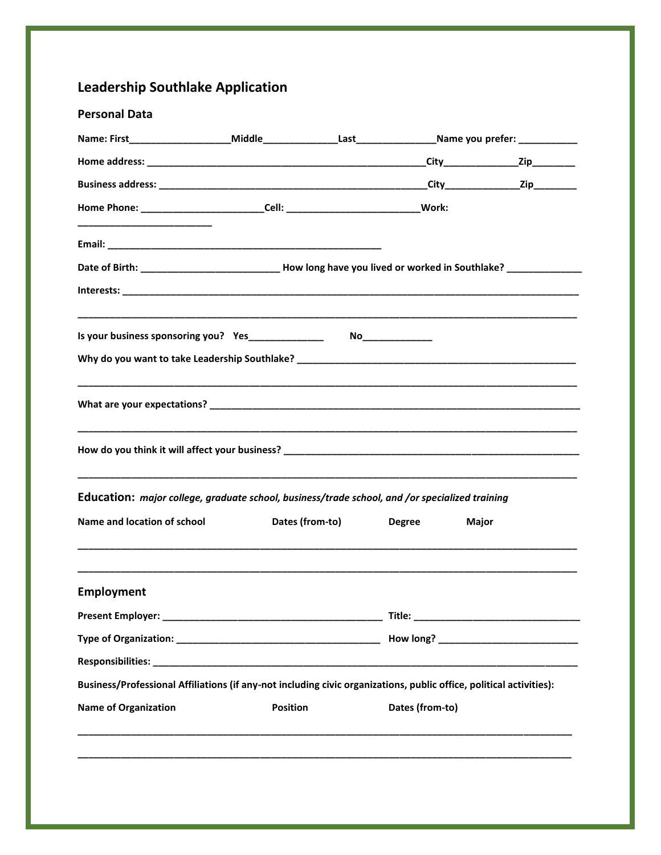## **Leadership Southlake Application**

| Home Phone: ____________________________Cell: _________________________________Work:                                                                                                                                                                                      |  |                 |               |       |  |
|---------------------------------------------------------------------------------------------------------------------------------------------------------------------------------------------------------------------------------------------------------------------------|--|-----------------|---------------|-------|--|
|                                                                                                                                                                                                                                                                           |  |                 |               |       |  |
| Date of Birth: ________________________________How long have you lived or worked in Southlake? ______________                                                                                                                                                             |  |                 |               |       |  |
|                                                                                                                                                                                                                                                                           |  |                 |               |       |  |
|                                                                                                                                                                                                                                                                           |  |                 |               |       |  |
|                                                                                                                                                                                                                                                                           |  |                 |               |       |  |
|                                                                                                                                                                                                                                                                           |  |                 |               |       |  |
|                                                                                                                                                                                                                                                                           |  |                 |               |       |  |
|                                                                                                                                                                                                                                                                           |  |                 |               |       |  |
|                                                                                                                                                                                                                                                                           |  |                 |               |       |  |
|                                                                                                                                                                                                                                                                           |  | Dates (from-to) | <b>Degree</b> | Major |  |
|                                                                                                                                                                                                                                                                           |  |                 |               |       |  |
|                                                                                                                                                                                                                                                                           |  |                 |               |       |  |
|                                                                                                                                                                                                                                                                           |  |                 |               |       |  |
|                                                                                                                                                                                                                                                                           |  |                 |               |       |  |
| Education: major college, graduate school, business/trade school, and /or specialized training<br>Name and location of school<br><b>Employment</b><br>Business/Professional Affiliations (if any-not including civic organizations, public office, political activities): |  |                 |               |       |  |